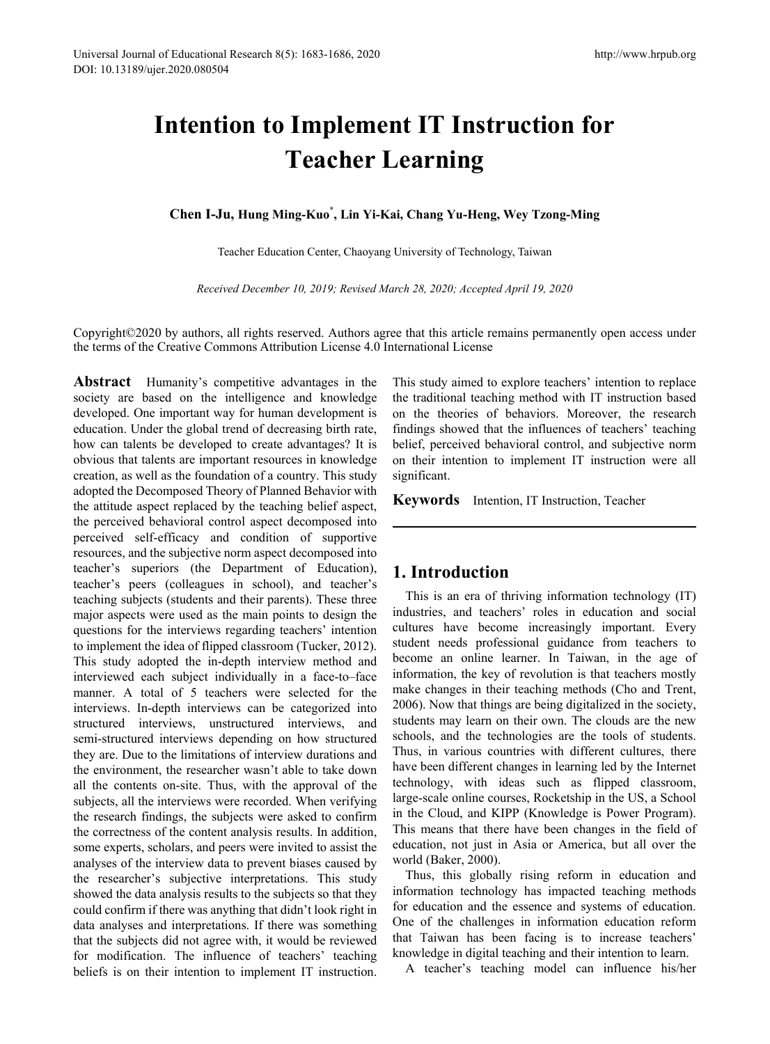# **Intention to Implement IT Instruction for Teacher Learning**

**Chen I-Ju, Hung Ming-Kuo\* , Lin Yi-Kai, Chang Yu-Heng, Wey Tzong-Ming**

Teacher Education Center, Chaoyang University of Technology, Taiwan

*Received December 10, 2019; Revised March 28, 2020; Accepted April 19, 2020*

Copyright©2020 by authors, all rights reserved. Authors agree that this article remains permanently open access under the terms of the Creative Commons Attribution License 4.0 International License

**Abstract** Humanity's competitive advantages in the society are based on the intelligence and knowledge developed. One important way for human development is education. Under the global trend of decreasing birth rate, how can talents be developed to create advantages? It is obvious that talents are important resources in knowledge creation, as well as the foundation of a country. This study adopted the Decomposed Theory of Planned Behavior with the attitude aspect replaced by the teaching belief aspect, the perceived behavioral control aspect decomposed into perceived self-efficacy and condition of supportive resources, and the subjective norm aspect decomposed into teacher's superiors (the Department of Education), teacher's peers (colleagues in school), and teacher's teaching subjects (students and their parents). These three major aspects were used as the main points to design the questions for the interviews regarding teachers' intention to implement the idea of flipped classroom (Tucker, 2012). This study adopted the in-depth interview method and interviewed each subject individually in a face-to–face manner. A total of 5 teachers were selected for the interviews. In-depth interviews can be categorized into structured interviews, unstructured interviews, and semi-structured interviews depending on how structured they are. Due to the limitations of interview durations and the environment, the researcher wasn't able to take down all the contents on-site. Thus, with the approval of the subjects, all the interviews were recorded. When verifying the research findings, the subjects were asked to confirm the correctness of the content analysis results. In addition, some experts, scholars, and peers were invited to assist the analyses of the interview data to prevent biases caused by the researcher's subjective interpretations. This study showed the data analysis results to the subjects so that they could confirm if there was anything that didn't look right in data analyses and interpretations. If there was something that the subjects did not agree with, it would be reviewed for modification. The influence of teachers' teaching beliefs is on their intention to implement IT instruction. This study aimed to explore teachers' intention to replace the traditional teaching method with IT instruction based on the theories of behaviors. Moreover, the research findings showed that the influences of teachers' teaching belief, perceived behavioral control, and subjective norm on their intention to implement IT instruction were all significant.

**Keywords** Intention, IT Instruction, Teacher

# **1. Introduction**

This is an era of thriving information technology (IT) industries, and teachers' roles in education and social cultures have become increasingly important. Every student needs professional guidance from teachers to become an online learner. In Taiwan, in the age of information, the key of revolution is that teachers mostly make changes in their teaching methods (Cho and Trent, 2006). Now that things are being digitalized in the society, students may learn on their own. The clouds are the new schools, and the technologies are the tools of students. Thus, in various countries with different cultures, there have been different changes in learning led by the Internet technology, with ideas such as flipped classroom, large-scale online courses, Rocketship in the US, a School in the Cloud, and KIPP (Knowledge is Power Program). This means that there have been changes in the field of education, not just in Asia or America, but all over the world (Baker, 2000).

Thus, this globally rising reform in education and information technology has impacted teaching methods for education and the essence and systems of education. One of the challenges in information education reform that Taiwan has been facing is to increase teachers' knowledge in digital teaching and their intention to learn.

A teacher's teaching model can influence his/her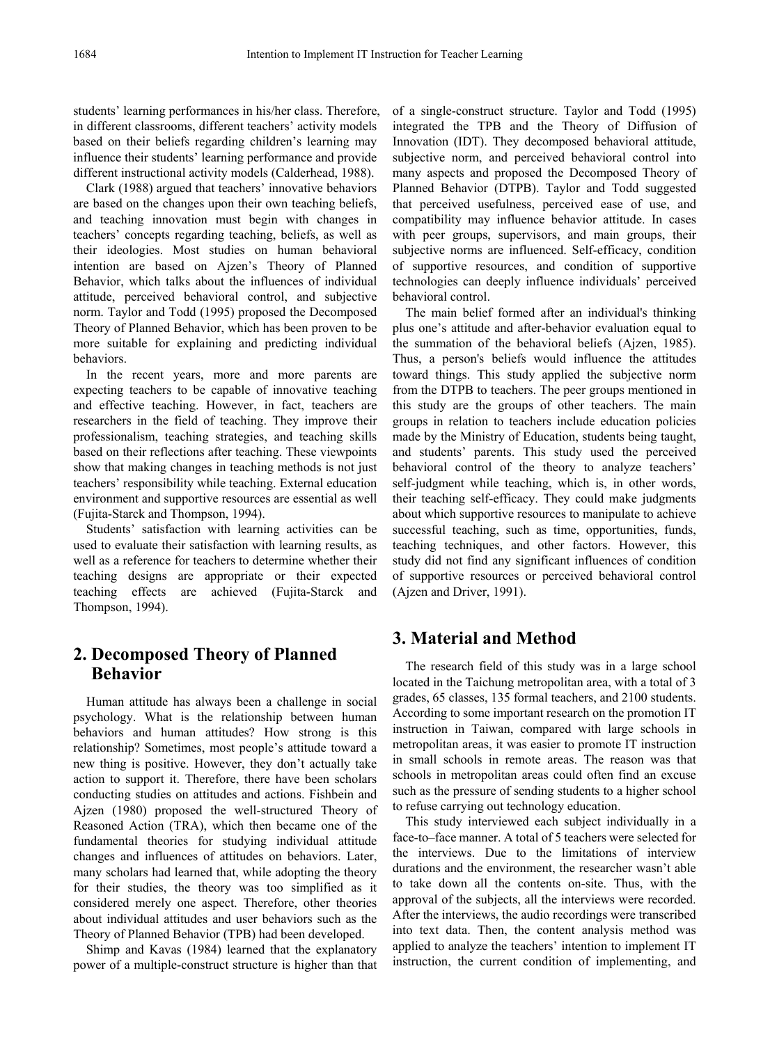students' learning performances in his/her class. Therefore, in different classrooms, different teachers' activity models based on their beliefs regarding children's learning may influence their students' learning performance and provide different instructional activity models (Calderhead, 1988).

Clark (1988) argued that teachers' innovative behaviors are based on the changes upon their own teaching beliefs, and teaching innovation must begin with changes in teachers' concepts regarding teaching, beliefs, as well as their ideologies. Most studies on human behavioral intention are based on Ajzen's Theory of Planned Behavior, which talks about the influences of individual attitude, perceived behavioral control, and subjective norm. Taylor and Todd (1995) proposed the Decomposed Theory of Planned Behavior, which has been proven to be more suitable for explaining and predicting individual behaviors.

In the recent years, more and more parents are expecting teachers to be capable of innovative teaching and effective teaching. However, in fact, teachers are researchers in the field of teaching. They improve their professionalism, teaching strategies, and teaching skills based on their reflections after teaching. These viewpoints show that making changes in teaching methods is not just teachers' responsibility while teaching. External education environment and supportive resources are essential as well (Fujita-Starck and Thompson, 1994).

Students' satisfaction with learning activities can be used to evaluate their satisfaction with learning results, as well as a reference for teachers to determine whether their teaching designs are appropriate or their expected teaching effects are achieved (Fujita-Starck and Thompson, 1994).

# **2. Decomposed Theory of Planned Behavior**

Human attitude has always been a challenge in social psychology. What is the relationship between human behaviors and human attitudes? How strong is this relationship? Sometimes, most people's attitude toward a new thing is positive. However, they don't actually take action to support it. Therefore, there have been scholars conducting studies on attitudes and actions. Fishbein and Ajzen (1980) proposed the well-structured Theory of Reasoned Action (TRA), which then became one of the fundamental theories for studying individual attitude changes and influences of attitudes on behaviors. Later, many scholars had learned that, while adopting the theory for their studies, the theory was too simplified as it considered merely one aspect. Therefore, other theories about individual attitudes and user behaviors such as the Theory of Planned Behavior (TPB) had been developed.

Shimp and Kavas (1984) learned that the explanatory power of a multiple-construct structure is higher than that of a single-construct structure. Taylor and Todd (1995) integrated the TPB and the Theory of Diffusion of Innovation (IDT). They decomposed behavioral attitude, subjective norm, and perceived behavioral control into many aspects and proposed the Decomposed Theory of Planned Behavior (DTPB). Taylor and Todd suggested that perceived usefulness, perceived ease of use, and compatibility may influence behavior attitude. In cases with peer groups, supervisors, and main groups, their subjective norms are influenced. Self-efficacy, condition of supportive resources, and condition of supportive technologies can deeply influence individuals' perceived behavioral control.

The main belief formed after an individual's thinking plus one's attitude and after-behavior evaluation equal to the summation of the behavioral beliefs (Ajzen, 1985). Thus, a person's beliefs would influence the attitudes toward things. This study applied the subjective norm from the DTPB to teachers. The peer groups mentioned in this study are the groups of other teachers. The main groups in relation to teachers include education policies made by the Ministry of Education, students being taught, and students' parents. This study used the perceived behavioral control of the theory to analyze teachers' self-judgment while teaching, which is, in other words, their teaching self-efficacy. They could make judgments about which supportive resources to manipulate to achieve successful teaching, such as time, opportunities, funds, teaching techniques, and other factors. However, this study did not find any significant influences of condition of supportive resources or perceived behavioral control (Ajzen and Driver, 1991).

# **3. Material and Method**

The research field of this study was in a large school located in the Taichung metropolitan area, with a total of 3 grades, 65 classes, 135 formal teachers, and 2100 students. According to some important research on the promotion IT instruction in Taiwan, compared with large schools in metropolitan areas, it was easier to promote IT instruction in small schools in remote areas. The reason was that schools in metropolitan areas could often find an excuse such as the pressure of sending students to a higher school to refuse carrying out technology education.

This study interviewed each subject individually in a face-to–face manner. A total of 5 teachers were selected for the interviews. Due to the limitations of interview durations and the environment, the researcher wasn't able to take down all the contents on-site. Thus, with the approval of the subjects, all the interviews were recorded. After the interviews, the audio recordings were transcribed into text data. Then, the content analysis method was applied to analyze the teachers' intention to implement IT instruction, the current condition of implementing, and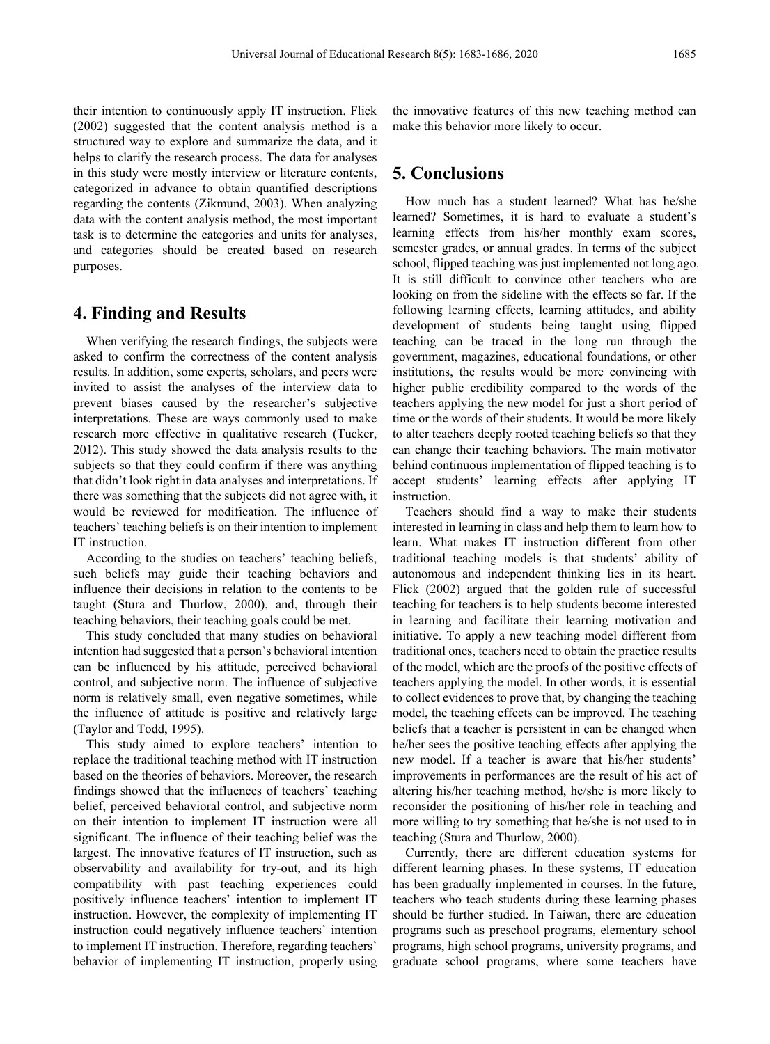their intention to continuously apply IT instruction. Flick (2002) suggested that the content analysis method is a structured way to explore and summarize the data, and it helps to clarify the research process. The data for analyses in this study were mostly interview or literature contents, categorized in advance to obtain quantified descriptions regarding the contents (Zikmund, 2003). When analyzing data with the content analysis method, the most important task is to determine the categories and units for analyses, and categories should be created based on research purposes.

#### **4. Finding and Results**

When verifying the research findings, the subjects were asked to confirm the correctness of the content analysis results. In addition, some experts, scholars, and peers were invited to assist the analyses of the interview data to prevent biases caused by the researcher's subjective interpretations. These are ways commonly used to make research more effective in qualitative research (Tucker, 2012). This study showed the data analysis results to the subjects so that they could confirm if there was anything that didn't look right in data analyses and interpretations. If there was something that the subjects did not agree with, it would be reviewed for modification. The influence of teachers' teaching beliefs is on their intention to implement IT instruction.

According to the studies on teachers' teaching beliefs, such beliefs may guide their teaching behaviors and influence their decisions in relation to the contents to be taught (Stura and Thurlow, 2000), and, through their teaching behaviors, their teaching goals could be met.

This study concluded that many studies on behavioral intention had suggested that a person's behavioral intention can be influenced by his attitude, perceived behavioral control, and subjective norm. The influence of subjective norm is relatively small, even negative sometimes, while the influence of attitude is positive and relatively large (Taylor and Todd, 1995).

This study aimed to explore teachers' intention to replace the traditional teaching method with IT instruction based on the theories of behaviors. Moreover, the research findings showed that the influences of teachers' teaching belief, perceived behavioral control, and subjective norm on their intention to implement IT instruction were all significant. The influence of their teaching belief was the largest. The innovative features of IT instruction, such as observability and availability for try-out, and its high compatibility with past teaching experiences could positively influence teachers' intention to implement IT instruction. However, the complexity of implementing IT instruction could negatively influence teachers' intention to implement IT instruction. Therefore, regarding teachers' behavior of implementing IT instruction, properly using the innovative features of this new teaching method can make this behavior more likely to occur.

### **5. Conclusions**

How much has a student learned? What has he/she learned? Sometimes, it is hard to evaluate a student's learning effects from his/her monthly exam scores, semester grades, or annual grades. In terms of the subject school, flipped teaching was just implemented not long ago. It is still difficult to convince other teachers who are looking on from the sideline with the effects so far. If the following learning effects, learning attitudes, and ability development of students being taught using flipped teaching can be traced in the long run through the government, magazines, educational foundations, or other institutions, the results would be more convincing with higher public credibility compared to the words of the teachers applying the new model for just a short period of time or the words of their students. It would be more likely to alter teachers deeply rooted teaching beliefs so that they can change their teaching behaviors. The main motivator behind continuous implementation of flipped teaching is to accept students' learning effects after applying IT instruction.

Teachers should find a way to make their students interested in learning in class and help them to learn how to learn. What makes IT instruction different from other traditional teaching models is that students' ability of autonomous and independent thinking lies in its heart. Flick (2002) argued that the golden rule of successful teaching for teachers is to help students become interested in learning and facilitate their learning motivation and initiative. To apply a new teaching model different from traditional ones, teachers need to obtain the practice results of the model, which are the proofs of the positive effects of teachers applying the model. In other words, it is essential to collect evidences to prove that, by changing the teaching model, the teaching effects can be improved. The teaching beliefs that a teacher is persistent in can be changed when he/her sees the positive teaching effects after applying the new model. If a teacher is aware that his/her students' improvements in performances are the result of his act of altering his/her teaching method, he/she is more likely to reconsider the positioning of his/her role in teaching and more willing to try something that he/she is not used to in teaching (Stura and Thurlow, 2000).

Currently, there are different education systems for different learning phases. In these systems, IT education has been gradually implemented in courses. In the future, teachers who teach students during these learning phases should be further studied. In Taiwan, there are education programs such as preschool programs, elementary school programs, high school programs, university programs, and graduate school programs, where some teachers have